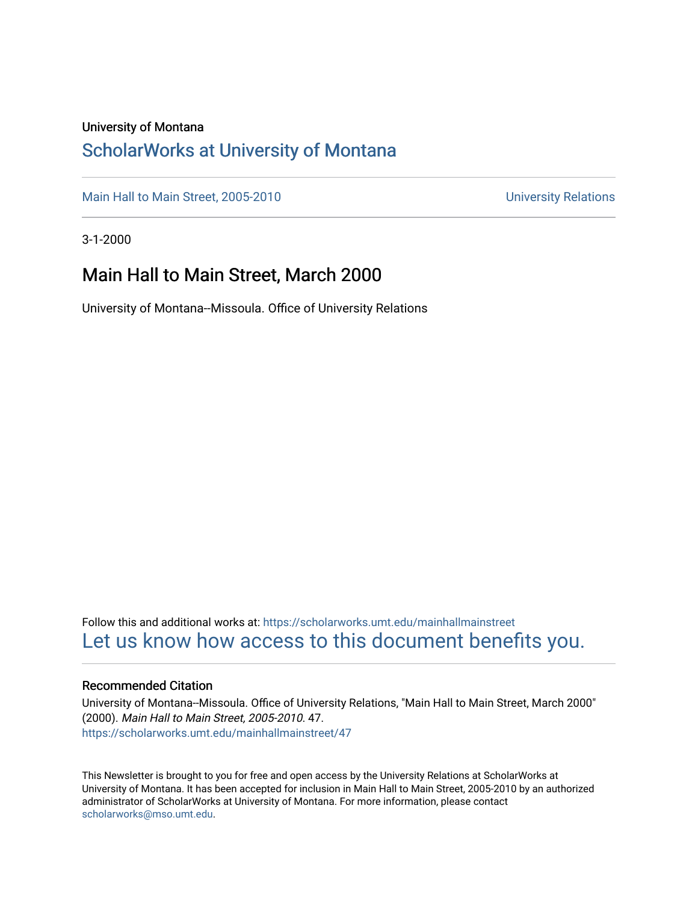### University of Montana

## [ScholarWorks at University of Montana](https://scholarworks.umt.edu/)

[Main Hall to Main Street, 2005-2010](https://scholarworks.umt.edu/mainhallmainstreet) Main Hall to Main Street, 2005-2010

3-1-2000

## Main Hall to Main Street, March 2000

University of Montana--Missoula. Office of University Relations

Follow this and additional works at: [https://scholarworks.umt.edu/mainhallmainstreet](https://scholarworks.umt.edu/mainhallmainstreet?utm_source=scholarworks.umt.edu%2Fmainhallmainstreet%2F47&utm_medium=PDF&utm_campaign=PDFCoverPages) [Let us know how access to this document benefits you.](https://goo.gl/forms/s2rGfXOLzz71qgsB2) 

#### Recommended Citation

University of Montana--Missoula. Office of University Relations, "Main Hall to Main Street, March 2000" (2000). Main Hall to Main Street, 2005-2010. 47. [https://scholarworks.umt.edu/mainhallmainstreet/47](https://scholarworks.umt.edu/mainhallmainstreet/47?utm_source=scholarworks.umt.edu%2Fmainhallmainstreet%2F47&utm_medium=PDF&utm_campaign=PDFCoverPages) 

This Newsletter is brought to you for free and open access by the University Relations at ScholarWorks at University of Montana. It has been accepted for inclusion in Main Hall to Main Street, 2005-2010 by an authorized administrator of ScholarWorks at University of Montana. For more information, please contact [scholarworks@mso.umt.edu.](mailto:scholarworks@mso.umt.edu)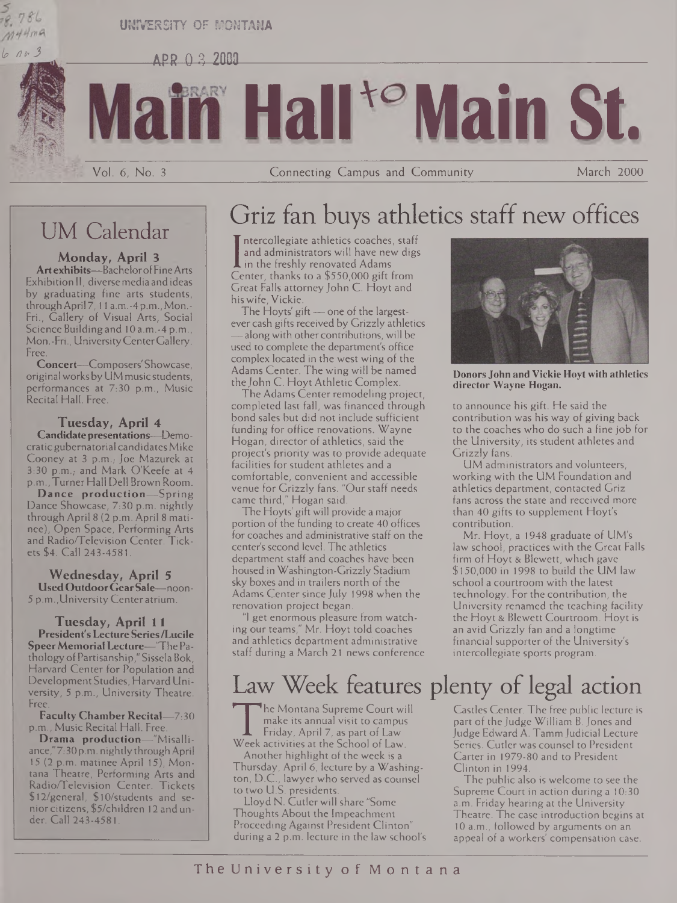### **UNIVERSITY OF MONTANA**

 $APR 0 3 2000$ 

# **Hair Maili St.**

Vol. 6, No. <sup>3</sup> Connecting Campus and Community March 2000

## UM Calendar

*lt> n»' 3*

 $M$ 44ma

**Monday, April 3 Art exhibits—**BachelorofFineArts Exhibition II, diversemedia and ideas by graduating fine arts students, through April 7, 11 a.m. - 4 p.m., Mon.-Fri., Gallery of Visual Arts, Social Science Building and 10 a.m.-4 p.m., Mon.-Fri., UniversityCenterGallery. Free.

**Concert—**Composers' Showcase, originalworksbyUM music students, performances at 7:30 p.m., Music Recital Hall. Free.

### **Tuesday, April 4**

**Candidatepresentations—**Democraticgubernatorial candidates Mike Cooney at 3 p.m.; Joe Mazurek at 3:30 p.m., and Mark O'Keefe at 4 p.m., Turner Hall Dell Brown Room.

**Dance production—**Spring Dance Showcase, 7:30 p.m. nightly through April 8 (2 p.m. April 8 matinee), Open Space, Performing Arts and Radio/Teievision Center. Tickets \$4. Call 243-4581.

**Wednesday, April 5 UsedOutdoorGearSale—**noon-5 p.m.,University Center atrium.

**Tuesday, April 11 President's LectureSeries/Lucile SpeerMemorialLecture—**"ThePathologyofPartisanship," Sissela Bok, Harvard Center for Population and DevelopmentStudies, HarvardUniversity, 5 p.m., University Theatre. Free;

**Faculty Chamber Recital—**7:30 p.m., Music Recital Hall. Free.

**Drama production—**"Misalliance,"7:30 p.m. nightlythroughApril 15 (2 p.m. matinee April 15), Montana Theatre, Performing Arts and Radio/Teievision Center. Tickets \$12/general, \$10/students and seniorcitizens, \$5/children 12 and under. Call 243-4581.

## Griz fan buys athletics staff new offices

I in the freshly renovated Adams<br>Center, thanks to a \$550,000 gift from ntercollegiate athletics coaches, staff and administrators will have new digs in the freshly renovated Adams Great Falls attorney John C. Hoyt and his wife, Vickie.

The Hoyts' gift—one of the largestever cash gifts received by Grizzly athletics —alongwith other contributions, will be used to complete the department's office complex located in the west wing of the Adams Center. The wing will be named the John C. Hoyt Athletic Complex.

The Adams Center remodeling project, completed last fall, was financed through bond sales but did not include sufficient funding for office renovations. Wayne Hogan, director of athletics, said the project's priority was to provide adequate facilities for student athletes and a comfortable, convenient and accessible venue for Grizzly fans. "Our staff needs came third," Hogan said.

The Hoyts' gift will provide a major portion of the funding to create 40 offices for coaches and administrative staff on the center's second level. The athletics department staff and coaches have been housed in Washington-Grizzly Stadium sky boxes and in trailers north of the Adams Center since July 1998 when the renovation project began.

"I get enormous pleasure from watching our teams," Mr. Hoyt told coaches and athletics department administrative staff during a March 21 news conference



**Donors John and Vickie Hoytwith athletics director Wayne Hogan.**

to announce his gift. He said the contribution was his way of giving back to the coaches who do such a fine job for the University, its student athletes and Grizzly fans.

UM administrators and volunteers, working with the UM Foundation and athletics department, contacted Griz fans across the state and received more than 40 gifts to supplement Hoyt's contribution.

Mr. Hoyt, a 1948 graduate of UM's law school, practices with the Great Falls firm of Hoyt & Blewett, which gave \$150,000 in 1998 to build the UM law school a courtroom with the latest technology. For the contribution, the University renamed the teaching facility the Hoyt & Blewett Courtroom. Hoyt is an avid Grizzly fan and a longtime financial supporter of the University's intercollegiate sports program.

# Law Week features plenty of legal action

The Montana Supreme Court will<br>
make its annual visit to campus<br>
Friday, April 7, as part of Law.<br>
Week activities at the School of Law.<br>
Another highlight of the week is a he Montana Supreme Court will make its annual visit to campus Friday, April 7, as part of Law Another highlight of the week is a Thursday, April 6, lecture by a Washington, D.C., lawyer who served as counsel

to two U.S. presidents. Lloyd N. Cutler will share "Some Thoughts About the Impeachment Proceeding Against President Clinton" during a 2 p.m. lecture in the law school's Castles Center. The free public lecture is part of the Judge William B. Jones and Judge Edward A. TammJudicial Lecture Series. Cutler was counsel to President Carter in 1979-80 and to President Clinton in 1994.

The public also is welcome to see the Supreme Court in action during a 10:30 a.m. Friday hearing at the University Theatre. The case introduction begins at 10 a.m., followed by arguments on an appeal of a workers' compensation case.